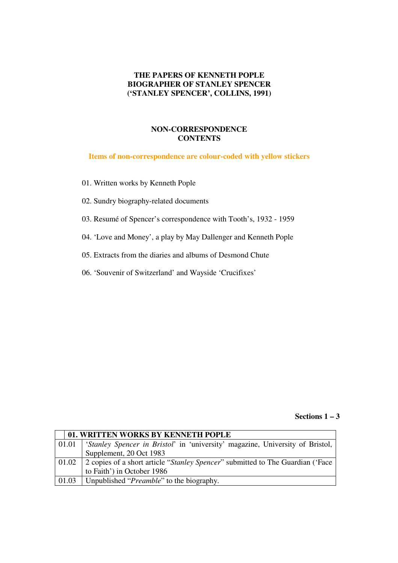## **THE PAPERS OF KENNETH POPLE BIOGRAPHER OF STANLEY SPENCER ('STANLEY SPENCER', COLLINS, 1991)**

## **NON-CORRESPONDENCE CONTENTS**

**Items of non-correspondence are colour-coded with yellow stickers** 

01. Written works by Kenneth Pople

02. Sundry biography-related documents

03. Resumé of Spencer's correspondence with Tooth's, 1932 - 1959

04. 'Love and Money', a play by May Dallenger and Kenneth Pople

05. Extracts from the diaries and albums of Desmond Chute

06. 'Souvenir of Switzerland' and Wayside 'Crucifixes'

**Sections 1 – 3** 

| 01. WRITTEN WORKS BY KENNETH POPLE |                                                                                        |  |
|------------------------------------|----------------------------------------------------------------------------------------|--|
|                                    | 01.01   'Stanley Spencer in Bristol' in 'university' magazine, University of Bristol,  |  |
|                                    | Supplement, 20 Oct 1983                                                                |  |
|                                    | 01.02   2 copies of a short article "Stanley Spencer" submitted to The Guardian ('Face |  |
|                                    | to Faith') in October 1986                                                             |  |
|                                    | 01.03   Unpublished " <i>Preamble</i> " to the biography.                              |  |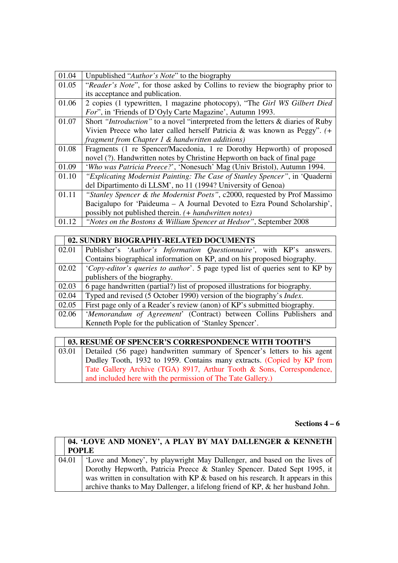| 01.04 | Unpublished "Author's Note" to the biography                                    |
|-------|---------------------------------------------------------------------------------|
| 01.05 | "Reader's Note", for those asked by Collins to review the biography prior to    |
|       | its acceptance and publication.                                                 |
| 01.06 | 2 copies (1 typewritten, 1 magazine photocopy), "The Girl WS Gilbert Died       |
|       | <i>For</i> ", in 'Friends of D'Oyly Carte Magazine', Autumn 1993.               |
| 01.07 | Short "Introduction" to a novel "interpreted from the letters & diaries of Ruby |
|       | Vivien Preece who later called herself Patricia & was known as Peggy". (+       |
|       | fragment from Chapter 1 & handwritten additions)                                |
| 01.08 | Fragments (1 re Spencer/Macedonia, 1 re Dorothy Hepworth) of proposed           |
|       | novel (?). Handwritten notes by Christine Hepworth on back of final page        |
| 01.09 | 'Who was Patricia Preece?', 'Nonesuch' Mag (Univ Bristol), Autumn 1994.         |
| 01.10 | "Explicating Modernist Painting: The Case of Stanley Spencer", in 'Quaderni     |
|       | del Dipartimento di LLSM', no 11 (1994? University of Genoa)                    |
| 01.11 | "Stanley Spencer & the Modernist Poets", c2000, requested by Prof Massimo       |
|       | Bacigalupo for 'Paideuma – A Journal Devoted to Ezra Pound Scholarship',        |
|       | possibly not published therein. (+ handwritten notes)                           |
| 01.12 | "Notes on the Bostons & William Spencer at Hedsor", September 2008              |

|       | 02. SUNDRY BIOGRAPHY-RELATED DOCUMENTS                                               |  |  |
|-------|--------------------------------------------------------------------------------------|--|--|
| 02.01 | Publisher's 'Author's Information Questionnaire', with KP's answers.                 |  |  |
|       | Contains biographical information on KP, and on his proposed biography.              |  |  |
| 02.02 | <i>Copy-editor's queries to author'</i> . 5 page typed list of queries sent to KP by |  |  |
|       | publishers of the biography.                                                         |  |  |
| 02.03 | 6 page handwritten (partial?) list of proposed illustrations for biography.          |  |  |
| 02.04 | Typed and revised (5 October 1990) version of the biography's <i>Index</i> .         |  |  |
| 02.05 | First page only of a Reader's review (anon) of KP's submitted biography.             |  |  |
| 02.06 | 'Memorandum of Agreement' (Contract) between Collins Publishers and                  |  |  |
|       | Kenneth Pople for the publication of 'Stanley Spencer'.                              |  |  |

| 03. RESUMÉ OF SPENCER'S CORRESPONDENCE WITH TOOTH'S                            |
|--------------------------------------------------------------------------------|
| 03.01 Detailed (56 page) handwritten summary of Spencer's letters to his agent |
| Dudley Tooth, 1932 to 1959. Contains many extracts. (Copied by KP from         |
| Tate Gallery Archive (TGA) 8917, Arthur Tooth & Sons, Correspondence,          |
| and included here with the permission of The Tate Gallery.)                    |

## **Sections 4 – 6**

| <b>POPLE</b> | 04. 'LOVE AND MONEY', A PLAY BY MAY DALLENGER & KENNETH                                                                                                                                                                                 |
|--------------|-----------------------------------------------------------------------------------------------------------------------------------------------------------------------------------------------------------------------------------------|
| 04.01        | 'Love and Money', by playwright May Dallenger, and based on the lives of<br>Dorothy Hepworth, Patricia Preece & Stanley Spencer. Dated Sept 1995, it<br>was written in consultation with KP & based on his research. It appears in this |
|              | archive thanks to May Dallenger, a lifelong friend of KP, & her husband John.                                                                                                                                                           |